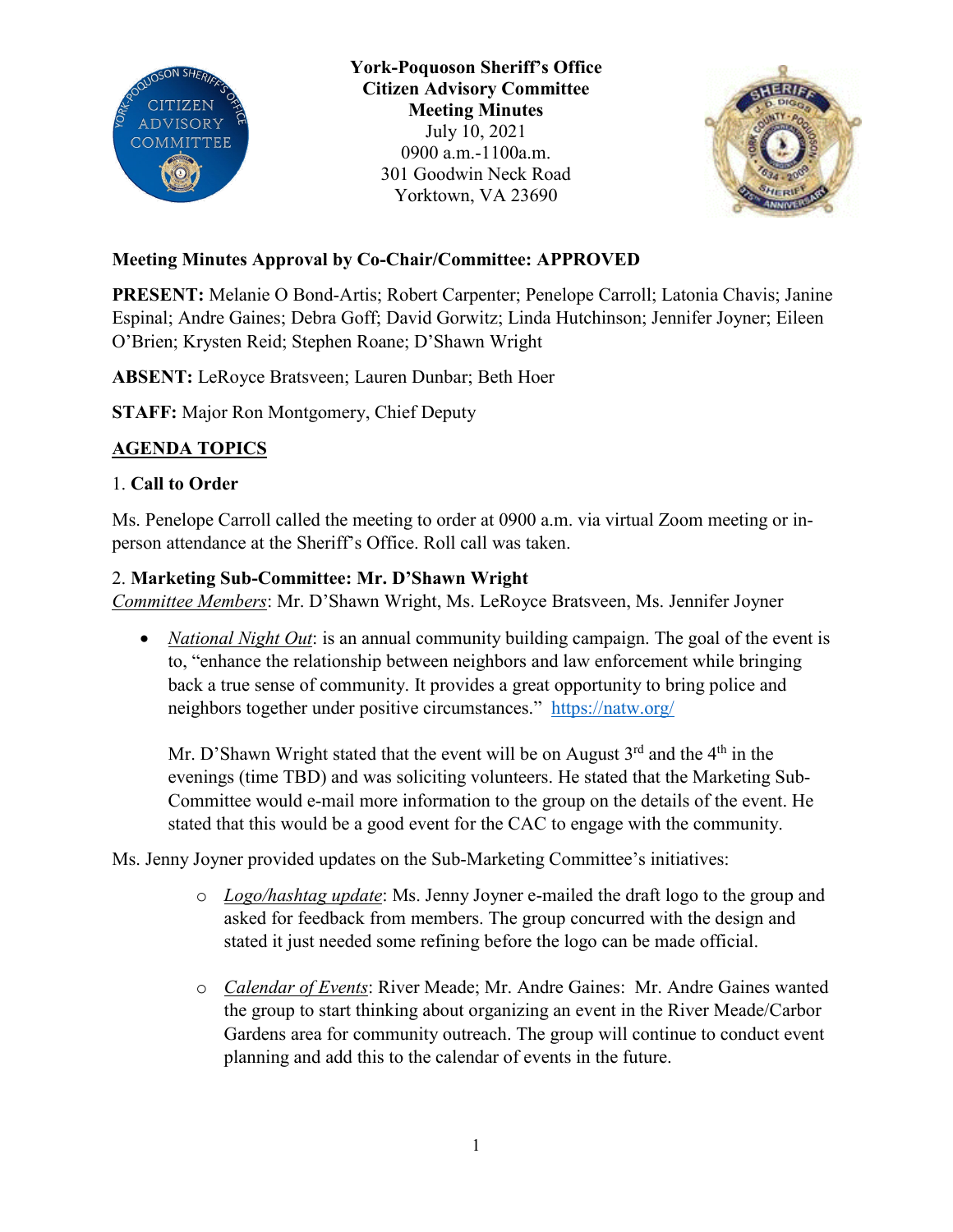

**York-Poquoson Sheriff's Office Citizen Advisory Committee Meeting Minutes** July 10, 2021 0900 a.m.-1100a.m. 301 Goodwin Neck Road Yorktown, VA 23690



## **Meeting Minutes Approval by Co-Chair/Committee: APPROVED**

**PRESENT:** Melanie O Bond-Artis; Robert Carpenter; Penelope Carroll; Latonia Chavis; Janine Espinal; Andre Gaines; Debra Goff; David Gorwitz; Linda Hutchinson; Jennifer Joyner; Eileen O'Brien; Krysten Reid; Stephen Roane; D'Shawn Wright

**ABSENT:** LeRoyce Bratsveen; Lauren Dunbar; Beth Hoer

**STAFF:** Major Ron Montgomery, Chief Deputy

# **AGENDA TOPICS**

### 1. **Call to Order**

Ms. Penelope Carroll called the meeting to order at 0900 a.m. via virtual Zoom meeting or inperson attendance at the Sheriff's Office. Roll call was taken.

### 2. **Marketing Sub-Committee: Mr. D'Shawn Wright**

*Committee Members*: Mr. D'Shawn Wright, Ms. LeRoyce Bratsveen, Ms. Jennifer Joyner

• *National Night Out*: is an annual community building campaign. The goal of the event is to, "enhance the relationship between neighbors and law enforcement while bringing back a true sense of community. It provides a great opportunity to bring police and neighbors together under positive circumstances." <https://natw.org/>

Mr. D'Shawn Wright stated that the event will be on August  $3<sup>rd</sup>$  and the  $4<sup>th</sup>$  in the evenings (time TBD) and was soliciting volunteers. He stated that the Marketing Sub-Committee would e-mail more information to the group on the details of the event. He stated that this would be a good event for the CAC to engage with the community.

Ms. Jenny Joyner provided updates on the Sub-Marketing Committee's initiatives:

- o *Logo/hashtag update*: Ms. Jenny Joyner e-mailed the draft logo to the group and asked for feedback from members. The group concurred with the design and stated it just needed some refining before the logo can be made official.
- o *Calendar of Events*: River Meade; Mr. Andre Gaines: Mr. Andre Gaines wanted the group to start thinking about organizing an event in the River Meade/Carbor Gardens area for community outreach. The group will continue to conduct event planning and add this to the calendar of events in the future.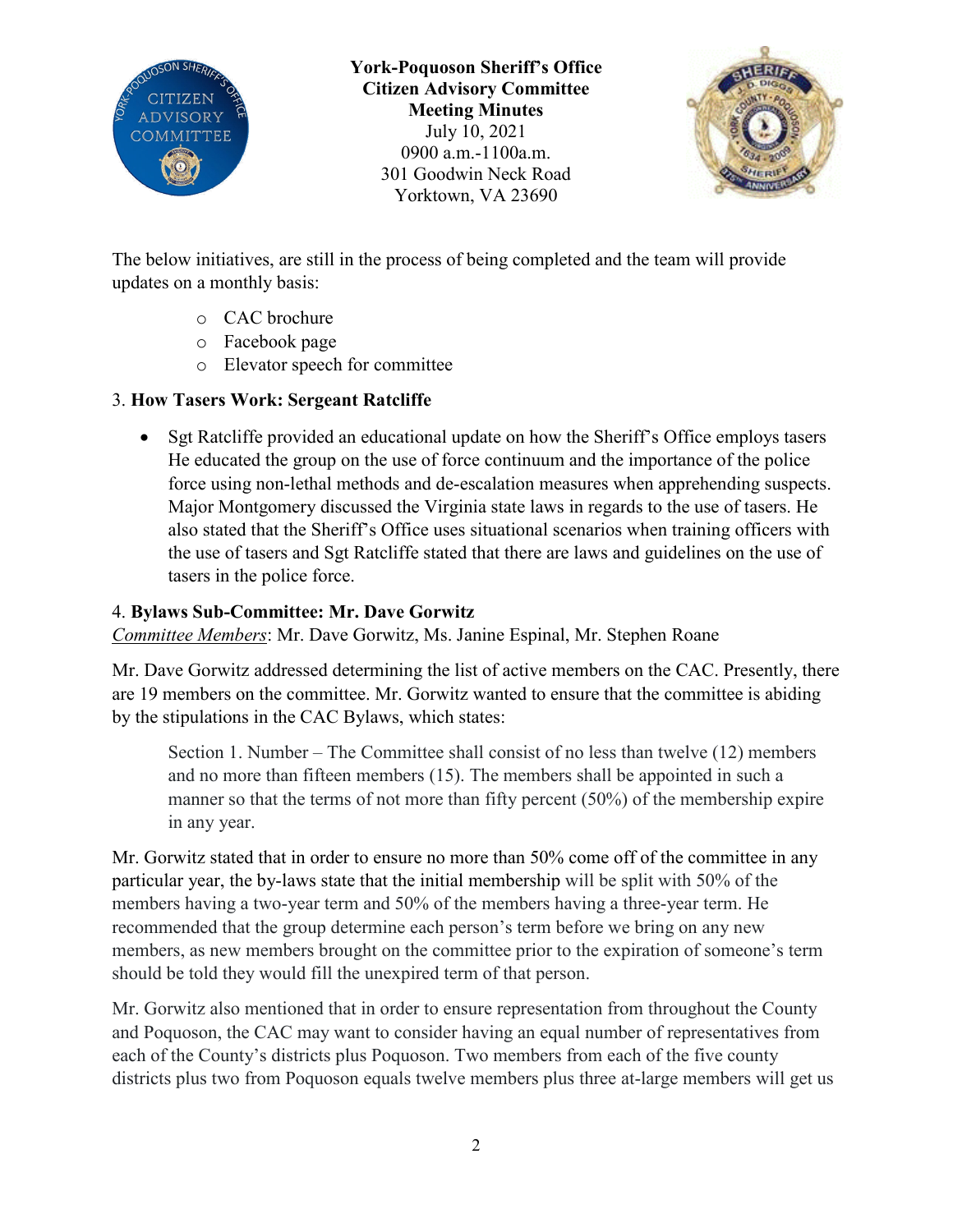

**York-Poquoson Sheriff's Office Citizen Advisory Committee Meeting Minutes** July 10, 2021 0900 a.m.-1100a.m. 301 Goodwin Neck Road Yorktown, VA 23690



The below initiatives, are still in the process of being completed and the team will provide updates on a monthly basis:

- o CAC brochure
- o Facebook page
- o Elevator speech for committee

### 3. **How Tasers Work: Sergeant Ratcliffe**

• Sgt Ratcliffe provided an educational update on how the Sheriff's Office employs tasers He educated the group on the use of force continuum and the importance of the police force using non-lethal methods and de-escalation measures when apprehending suspects. Major Montgomery discussed the Virginia state laws in regards to the use of tasers. He also stated that the Sheriff's Office uses situational scenarios when training officers with the use of tasers and Sgt Ratcliffe stated that there are laws and guidelines on the use of tasers in the police force.

#### 4. **Bylaws Sub-Committee: Mr. Dave Gorwitz**

*Committee Members*: Mr. Dave Gorwitz, Ms. Janine Espinal, Mr. Stephen Roane

Mr. Dave Gorwitz addressed determining the list of active members on the CAC. Presently, there are 19 members on the committee. Mr. Gorwitz wanted to ensure that the committee is abiding by the stipulations in the CAC Bylaws, which states:

Section 1. Number – The Committee shall consist of no less than twelve (12) members and no more than fifteen members (15). The members shall be appointed in such a manner so that the terms of not more than fifty percent (50%) of the membership expire in any year.

Mr. Gorwitz stated that in order to ensure no more than 50% come off of the committee in any particular year, the by-laws state that the initial membership will be split with 50% of the members having a two-year term and 50% of the members having a three-year term. He recommended that the group determine each person's term before we bring on any new members, as new members brought on the committee prior to the expiration of someone's term should be told they would fill the unexpired term of that person.

Mr. Gorwitz also mentioned that in order to ensure representation from throughout the County and Poquoson, the CAC may want to consider having an equal number of representatives from each of the County's districts plus Poquoson. Two members from each of the five county districts plus two from Poquoson equals twelve members plus three at-large members will get us